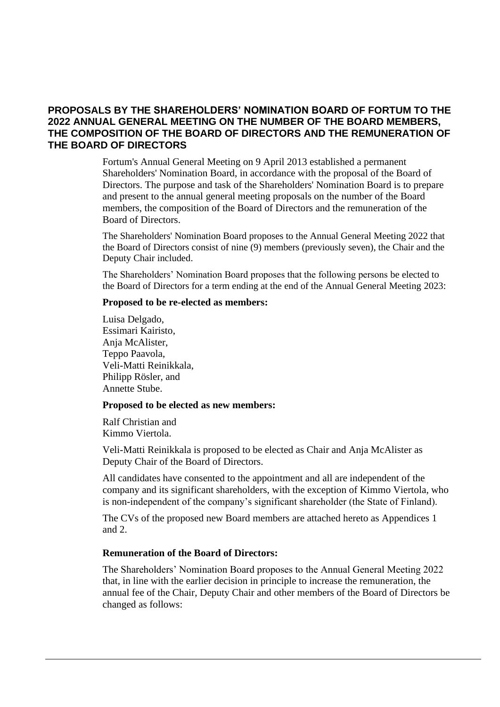## **PROPOSALS BY THE SHAREHOLDERS' NOMINATION BOARD OF FORTUM TO THE 2022 ANNUAL GENERAL MEETING ON THE NUMBER OF THE BOARD MEMBERS, THE COMPOSITION OF THE BOARD OF DIRECTORS AND THE REMUNERATION OF THE BOARD OF DIRECTORS**

Fortum's Annual General Meeting on 9 April 2013 established a permanent Shareholders' Nomination Board, in accordance with the proposal of the Board of Directors. The purpose and task of the Shareholders' Nomination Board is to prepare and present to the annual general meeting proposals on the number of the Board members, the composition of the Board of Directors and the remuneration of the Board of Directors.

The Shareholders' Nomination Board proposes to the Annual General Meeting 2022 that the Board of Directors consist of nine (9) members (previously seven), the Chair and the Deputy Chair included.

The Shareholders' Nomination Board proposes that the following persons be elected to the Board of Directors for a term ending at the end of the Annual General Meeting 2023:

#### **Proposed to be re-elected as members:**

Luisa Delgado, Essimari Kairisto, Anja McAlister, Teppo Paavola, Veli-Matti Reinikkala, Philipp Rösler, and Annette Stube.

#### **Proposed to be elected as new members:**

Ralf Christian and Kimmo Viertola.

Veli-Matti Reinikkala is proposed to be elected as Chair and Anja McAlister as Deputy Chair of the Board of Directors.

All candidates have consented to the appointment and all are independent of the company and its significant shareholders, with the exception of Kimmo Viertola, who is non-independent of the company's significant shareholder (the State of Finland).

The CVs of the proposed new Board members are attached hereto as Appendices 1 and 2.

#### **Remuneration of the Board of Directors:**

The Shareholders' Nomination Board proposes to the Annual General Meeting 2022 that, in line with the earlier decision in principle to increase the remuneration, the annual fee of the Chair, Deputy Chair and other members of the Board of Directors be changed as follows: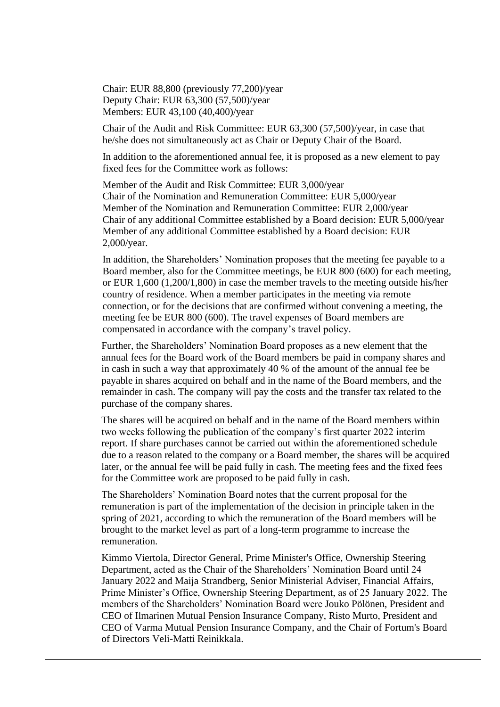Chair: EUR 88,800 (previously 77,200)/year Deputy Chair: EUR 63,300 (57,500)/year Members: EUR 43,100 (40,400)/year

Chair of the Audit and Risk Committee: EUR 63,300 (57,500)/year, in case that he/she does not simultaneously act as Chair or Deputy Chair of the Board.

In addition to the aforementioned annual fee, it is proposed as a new element to pay fixed fees for the Committee work as follows:

Member of the Audit and Risk Committee: EUR 3,000/year Chair of the Nomination and Remuneration Committee: EUR 5,000/year Member of the Nomination and Remuneration Committee: EUR 2,000/year Chair of any additional Committee established by a Board decision: EUR 5,000/year Member of any additional Committee established by a Board decision: EUR 2,000/year.

In addition, the Shareholders' Nomination proposes that the meeting fee payable to a Board member, also for the Committee meetings, be EUR 800 (600) for each meeting, or EUR 1,600 (1,200/1,800) in case the member travels to the meeting outside his/her country of residence. When a member participates in the meeting via remote connection, or for the decisions that are confirmed without convening a meeting, the meeting fee be EUR 800 (600). The travel expenses of Board members are compensated in accordance with the company's travel policy.

Further, the Shareholders' Nomination Board proposes as a new element that the annual fees for the Board work of the Board members be paid in company shares and in cash in such a way that approximately 40 % of the amount of the annual fee be payable in shares acquired on behalf and in the name of the Board members, and the remainder in cash. The company will pay the costs and the transfer tax related to the purchase of the company shares.

The shares will be acquired on behalf and in the name of the Board members within two weeks following the publication of the company's first quarter 2022 interim report. If share purchases cannot be carried out within the aforementioned schedule due to a reason related to the company or a Board member, the shares will be acquired later, or the annual fee will be paid fully in cash. The meeting fees and the fixed fees for the Committee work are proposed to be paid fully in cash.

The Shareholders' Nomination Board notes that the current proposal for the remuneration is part of the implementation of the decision in principle taken in the spring of 2021, according to which the remuneration of the Board members will be brought to the market level as part of a long-term programme to increase the remuneration.

Kimmo Viertola, Director General, Prime Minister's Office, Ownership Steering Department, acted as the Chair of the Shareholders' Nomination Board until 24 January 2022 and Maija Strandberg, Senior Ministerial Adviser, Financial Affairs, Prime Minister's Office, Ownership Steering Department, as of 25 January 2022. The members of the Shareholders' Nomination Board were Jouko Pölönen, President and CEO of Ilmarinen Mutual Pension Insurance Company, Risto Murto, President and CEO of Varma Mutual Pension Insurance Company, and the Chair of Fortum's Board of Directors Veli-Matti Reinikkala.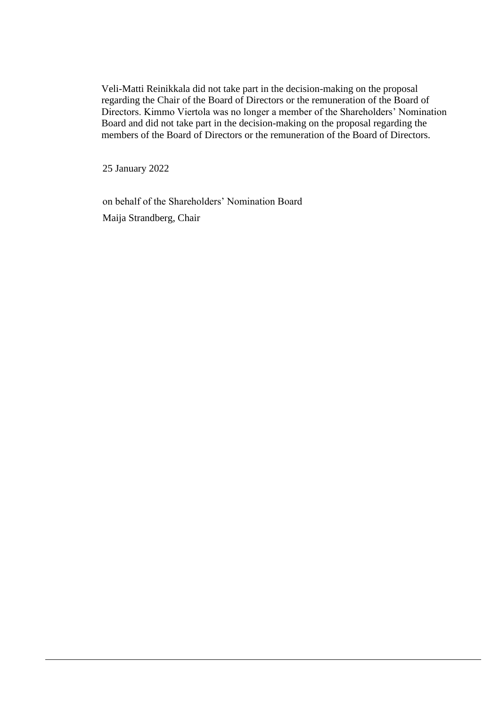Veli-Matti Reinikkala did not take part in the decision-making on the proposal regarding the Chair of the Board of Directors or the remuneration of the Board of Directors. Kimmo Viertola was no longer a member of the Shareholders' Nomination Board and did not take part in the decision-making on the proposal regarding the members of the Board of Directors or the remuneration of the Board of Directors.

25 January 2022

on behalf of the Shareholders' Nomination Board Maija Strandberg, Chair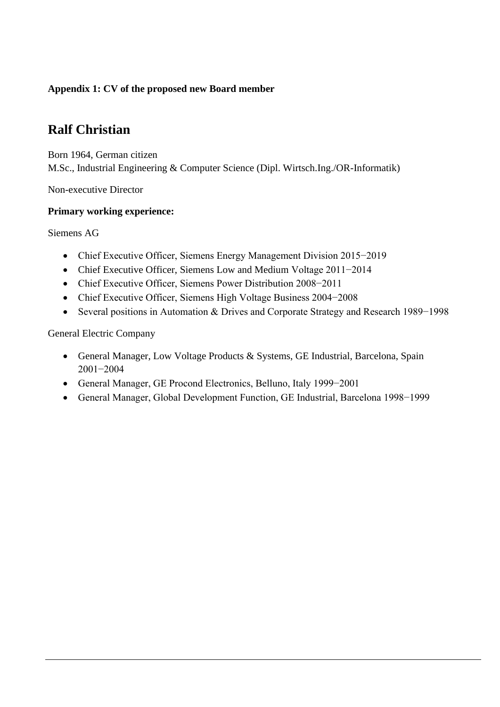# **Appendix 1: CV of the proposed new Board member**

# **Ralf Christian**

Born 1964, German citizen M.Sc., Industrial Engineering & Computer Science (Dipl. Wirtsch.Ing./OR-Informatik)

Non-executive Director

## **Primary working experience:**

Siemens AG

- Chief Executive Officer, Siemens Energy Management Division 2015−2019
- Chief Executive Officer, Siemens Low and Medium Voltage 2011−2014
- Chief Executive Officer, Siemens Power Distribution 2008−2011
- Chief Executive Officer, Siemens High Voltage Business 2004−2008
- Several positions in Automation & Drives and Corporate Strategy and Research 1989−1998

General Electric Company

- General Manager, Low Voltage Products & Systems, GE Industrial, Barcelona, Spain 2001−2004
- General Manager, GE Procond Electronics, Belluno, Italy 1999−2001
- General Manager, Global Development Function, GE Industrial, Barcelona 1998−1999